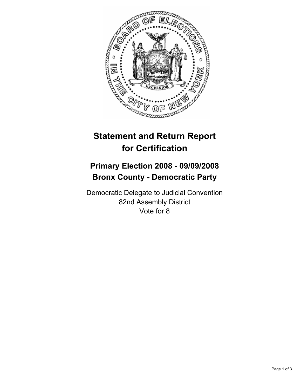

# **Statement and Return Report for Certification**

## **Primary Election 2008 - 09/09/2008 Bronx County - Democratic Party**

Democratic Delegate to Judicial Convention 82nd Assembly District Vote for 8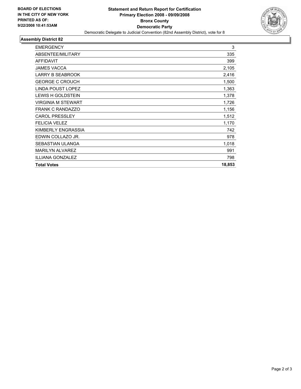

### **Assembly District 82**

| <b>EMERGENCY</b>          | 3      |
|---------------------------|--------|
| ABSENTEE/MILITARY         | 335    |
| <b>AFFIDAVIT</b>          | 399    |
| <b>JAMES VACCA</b>        | 2,105  |
| <b>LARRY B SEABROOK</b>   | 2,416  |
| <b>GEORGE C CROUCH</b>    | 1,500  |
| <b>LINDA POUST LOPEZ</b>  | 1,363  |
| <b>LEWIS H GOLDSTEIN</b>  | 1,378  |
| <b>VIRGINIA M STEWART</b> | 1,726  |
| <b>FRANK C RANDAZZO</b>   | 1,156  |
| <b>CAROL PRESSLEY</b>     | 1,512  |
| <b>FELICIA VELEZ</b>      | 1,170  |
| KIMBERLY ENGRASSIA        | 742    |
| EDWIN COLLAZO JR.         | 978    |
| <b>SEBASTIAN ULANGA</b>   | 1,018  |
| <b>MARILYN ALVAREZ</b>    | 991    |
| ILLIANA GONZALEZ          | 798    |
| <b>Total Votes</b>        | 18,853 |